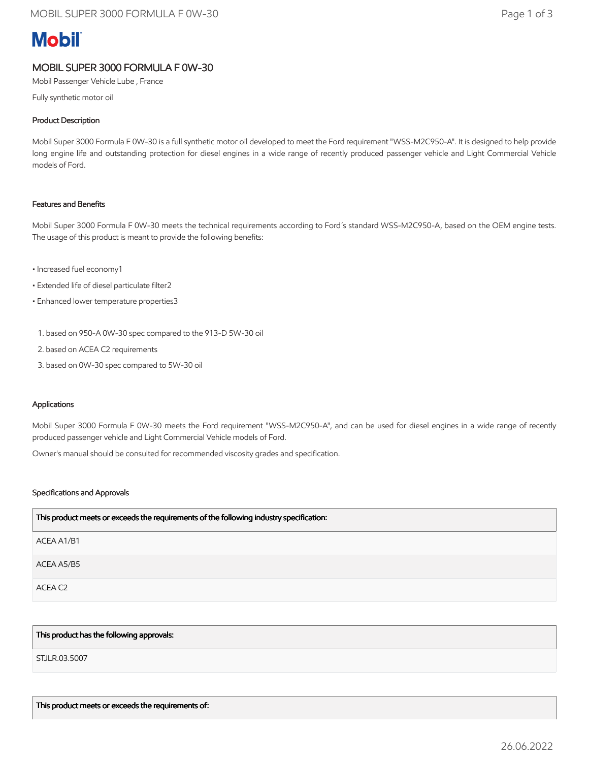# **Mobil**

# MOBIL SUPER 3000 FORMULA F 0W-30

Mobil Passenger Vehicle Lube , France

Fully synthetic motor oil

# Product Description

Mobil Super 3000 Formula F 0W-30 is a full synthetic motor oil developed to meet the Ford requirement "WSS-M2C950-A". It is designed to help provide long engine life and outstanding protection for diesel engines in a wide range of recently produced passenger vehicle and Light Commercial Vehicle models of Ford.

## Features and Benefits

Mobil Super 3000 Formula F 0W-30 meets the technical requirements according to Ford´s standard WSS-M2C950-A, based on the OEM engine tests. The usage of this product is meant to provide the following benefits:

- Increased fuel economy1
- Extended life of diesel particulate filter2
- Enhanced lower temperature properties3
	- 1. based on 950-A 0W-30 spec compared to the 913-D 5W-30 oil
- 2. based on ACEA C2 requirements
- 3. based on 0W-30 spec compared to 5W-30 oil

## Applications

Mobil Super 3000 Formula F 0W-30 meets the Ford requirement "WSS-M2C950-A", and can be used for diesel engines in a wide range of recently produced passenger vehicle and Light Commercial Vehicle models of Ford.

Owner's manual should be consulted for recommended viscosity grades and specification.

## Specifications and Approvals

| This product meets or exceeds the requirements of the following industry specification: |
|-----------------------------------------------------------------------------------------|
| ACEA A1/B1                                                                              |
| ACEA A5/B5                                                                              |
| ACEA C2                                                                                 |

#### This product has the following approvals:

STJLR.03.5007

This product meets or exceeds the requirements of: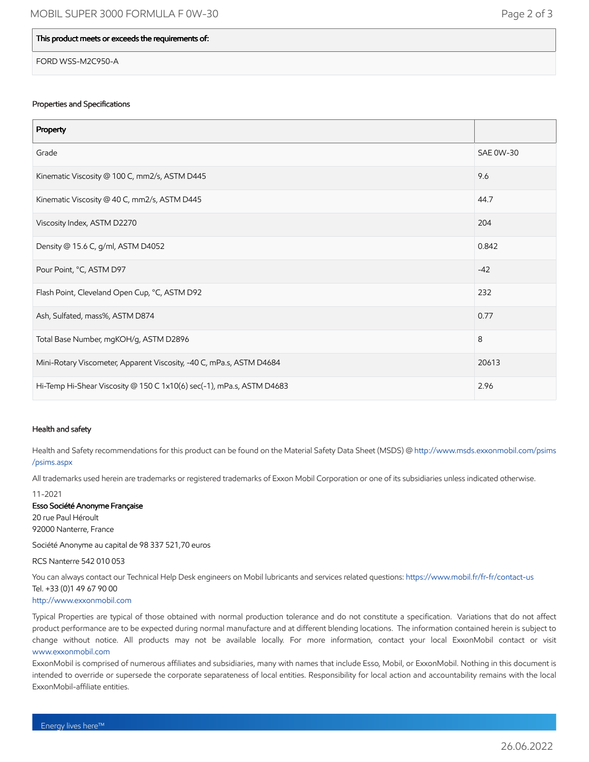## This product meets or exceeds the requirements of:

FORD WSS-M2C950-A

#### Properties and Specifications

| Property                                                              |                  |
|-----------------------------------------------------------------------|------------------|
| Grade                                                                 | <b>SAE 0W-30</b> |
| Kinematic Viscosity @ 100 C, mm2/s, ASTM D445                         | 9.6              |
| Kinematic Viscosity @ 40 C, mm2/s, ASTM D445                          | 44.7             |
| Viscosity Index, ASTM D2270                                           | 204              |
| Density @ 15.6 C, g/ml, ASTM D4052                                    | 0.842            |
| Pour Point, °C, ASTM D97                                              | $-42$            |
| Flash Point, Cleveland Open Cup, °C, ASTM D92                         | 232              |
| Ash, Sulfated, mass%, ASTM D874                                       | 0.77             |
| Total Base Number, mgKOH/g, ASTM D2896                                | 8                |
| Mini-Rotary Viscometer, Apparent Viscosity, -40 C, mPa.s, ASTM D4684  | 20613            |
| Hi-Temp Hi-Shear Viscosity @ 150 C 1x10(6) sec(-1), mPa.s, ASTM D4683 | 2.96             |

#### Health and safety

Health and Safety recommendations for this product can be found on the Material Safety Data Sheet (MSDS) @ [http://www.msds.exxonmobil.com/psims](http://www.msds.exxonmobil.com/psims/psims.aspx) /psims.aspx

All trademarks used herein are trademarks or registered trademarks of Exxon Mobil Corporation or one of its subsidiaries unless indicated otherwise.

11-2021

Esso Société Anonyme Française 20 rue Paul Héroult 92000 Nanterre, France

Société Anonyme au capital de 98 337 521,70 euros

RCS Nanterre 542 010 053

You can always contact our Technical Help Desk engineers on Mobil lubricants and services related questions:<https://www.mobil.fr/fr-fr/contact-us> Tel. +33 (0)1 49 67 90 00

[http://www.exxonmobil.com](http://www.exxonmobil.com/)

Typical Properties are typical of those obtained with normal production tolerance and do not constitute a specification. Variations that do not affect product performance are to be expected during normal manufacture and at different blending locations. The information contained herein is subject to change without notice. All products may not be available locally. For more information, contact your local ExxonMobil contact or visit [www.exxonmobil.com](http://www.exxonmobil.com/)

ExxonMobil is comprised of numerous affiliates and subsidiaries, many with names that include Esso, Mobil, or ExxonMobil. Nothing in this document is intended to override or supersede the corporate separateness of local entities. Responsibility for local action and accountability remains with the local ExxonMobil-affiliate entities.